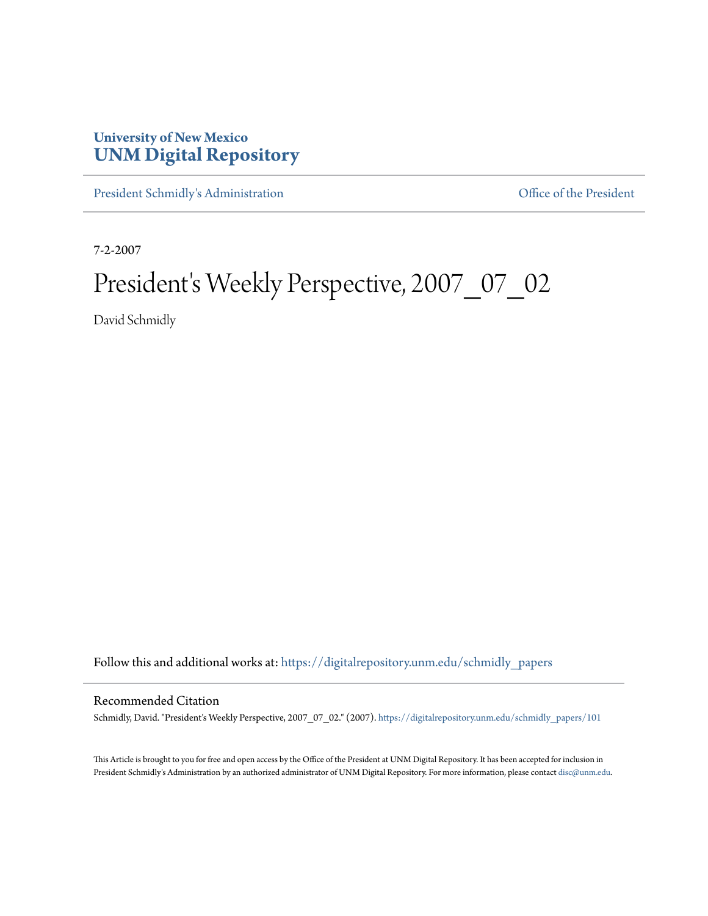## **University of New Mexico [UNM Digital Repository](https://digitalrepository.unm.edu?utm_source=digitalrepository.unm.edu%2Fschmidly_papers%2F101&utm_medium=PDF&utm_campaign=PDFCoverPages)**

[President Schmidly's Administration](https://digitalrepository.unm.edu/schmidly_papers?utm_source=digitalrepository.unm.edu%2Fschmidly_papers%2F101&utm_medium=PDF&utm_campaign=PDFCoverPages) [Office of the President](https://digitalrepository.unm.edu/ofc_president?utm_source=digitalrepository.unm.edu%2Fschmidly_papers%2F101&utm_medium=PDF&utm_campaign=PDFCoverPages)

7-2-2007

## President's Weekly Perspective, 2007\_07\_02

David Schmidly

Follow this and additional works at: [https://digitalrepository.unm.edu/schmidly\\_papers](https://digitalrepository.unm.edu/schmidly_papers?utm_source=digitalrepository.unm.edu%2Fschmidly_papers%2F101&utm_medium=PDF&utm_campaign=PDFCoverPages)

## Recommended Citation

Schmidly, David. "President's Weekly Perspective, 2007\_07\_02." (2007). [https://digitalrepository.unm.edu/schmidly\\_papers/101](https://digitalrepository.unm.edu/schmidly_papers/101?utm_source=digitalrepository.unm.edu%2Fschmidly_papers%2F101&utm_medium=PDF&utm_campaign=PDFCoverPages)

This Article is brought to you for free and open access by the Office of the President at UNM Digital Repository. It has been accepted for inclusion in President Schmidly's Administration by an authorized administrator of UNM Digital Repository. For more information, please contact [disc@unm.edu](mailto:disc@unm.edu).